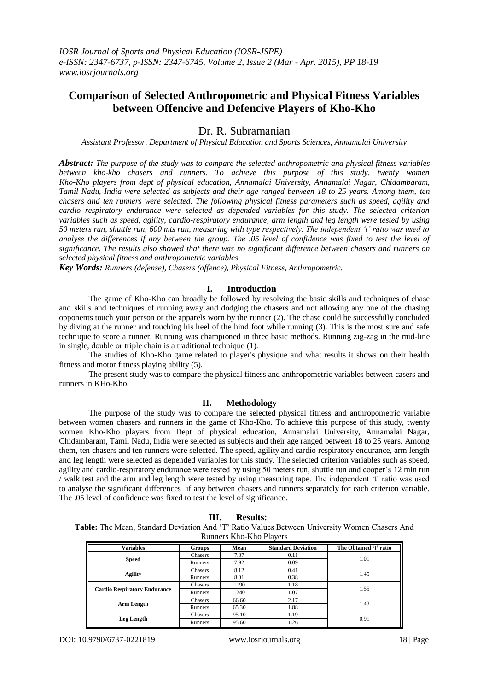# **Comparison of Selected Anthropometric and Physical Fitness Variables between Offencive and Defencive Players of Kho-Kho**

## Dr. R. Subramanian

*Assistant Professor, Department of Physical Education and Sports Sciences, Annamalai University*

*Abstract: The purpose of the study was to compare the selected anthropometric and physical fitness variables between kho-kho chasers and runners. To achieve this purpose of this study, twenty women Kho-Kho players from dept of physical education, Annamalai University, Annamalai Nagar, Chidambaram, Tamil Nadu, India were selected as subjects and their age ranged between 18 to 25 years. Among them, ten chasers and ten runners were selected. The following physical fitness parameters such as speed, agility and cardio respiratory endurance were selected as depended variables for this study. The selected criterion variables such as speed, agility, cardio-respiratory endurance, arm length and leg length were tested by using 50 meters run, shuttle run, 600 mts run, measuring with type respectively. The independent 't' ratio was used to analyse the differences if any between the group. The .05 level of confidence was fixed to test the level of significance. The results also showed that there was no significant difference between chasers and runners on selected physical fitness and anthropometric variables.*

*Key Words: Runners (defense), Chasers (offence), Physical Fitness, Anthropometric.*

## **I. Introduction**

The game of Kho-Kho can broadly be followed by resolving the basic skills and techniques of chase and skills and techniques of running away and dodging the chasers and not allowing any one of the chasing opponents touch your person or the apparels worn by the runner (2). The chase could be successfully concluded by diving at the runner and touching his heel of the hind foot while running (3). This is the most sure and safe technique to score a runner. Running was championed in three basic methods. Running zig-zag in the mid-line in single, double or triple chain is a traditional technique (1).

The studies of Kho-Kho game related to player's physique and what results it shows on their health fitness and motor fitness playing ability (5).

The present study was to compare the physical fitness and anthropometric variables between casers and runners in KHo-Kho.

## **II. Methodology**

The purpose of the study was to compare the selected physical fitness and anthropometric variable between women chasers and runners in the game of Kho-Kho. To achieve this purpose of this study, twenty women Kho-Kho players from Dept of physical education, Annamalai University, Annamalai Nagar, Chidambaram, Tamil Nadu, India were selected as subjects and their age ranged between 18 to 25 years. Among them, ten chasers and ten runners were selected. The speed, agility and cardio respiratory endurance, arm length and leg length were selected as depended variables for this study. The selected criterion variables such as speed, agility and cardio-respiratory endurance were tested by using 50 meters run, shuttle run and cooper"s 12 min run / walk test and the arm and leg length were tested by using measuring tape. The independent "t" ratio was used to analyse the significant differences if any between chasers and runners separately for each criterion variable. The .05 level of confidence was fixed to test the level of significance.

**Table:** The Mean, Standard Deviation And "T" Ratio Values Between University Women Chasers And Runners Kho-Kho Players

| <b>Variables</b>                    | Groups  | Mean  | <b>Standard Deviation</b> | The Obtained 't' ratio |
|-------------------------------------|---------|-------|---------------------------|------------------------|
| <b>Speed</b>                        | Chasers | 7.87  | 0.11                      | 1.01                   |
|                                     | Runners | 7.92  | 0.09                      |                        |
| <b>Agility</b>                      | Chasers | 8.12  | 0.41                      | 1.45                   |
|                                     | Runners | 8.01  | 0.38                      |                        |
| <b>Cardio Respiratory Endurance</b> | Chasers | 1190  | 1.18                      | 1.55                   |
|                                     | Runners | 1240  | 1.07                      |                        |
| Arm Length                          | Chasers | 66.60 | 2.17                      | 1.43                   |
|                                     | Runners | 65.30 | 1.88                      |                        |
| <b>Leg Length</b>                   | Chasers | 95.10 | 1.19                      | 0.91                   |
|                                     | Runners | 95.60 | 1.26                      |                        |

DOI: 10.9790/6737-0221819 www.iosrjournals.org 18 | Page